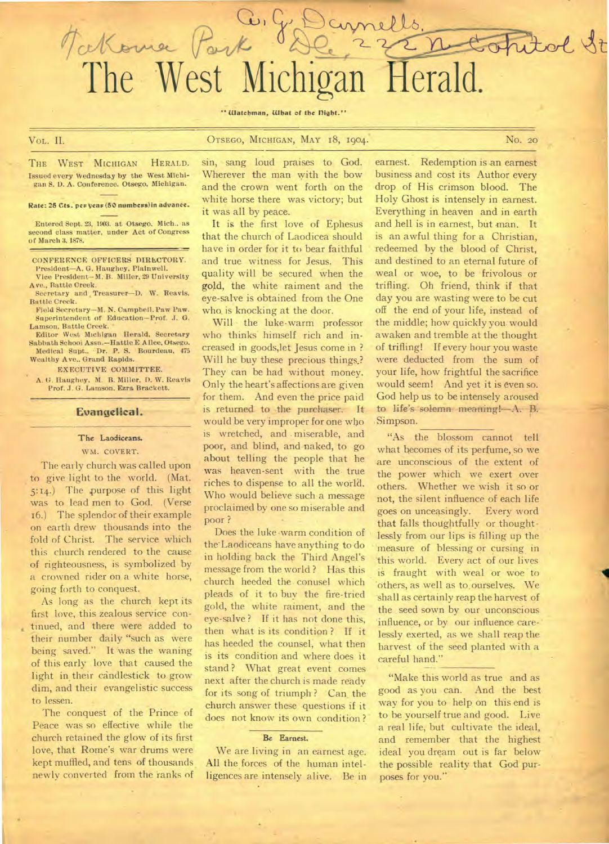" Watchman, What of the Dight."

Tockome Pork De 22 nd

comells.

Vol. II. **Carl Community Community Community Community Community Community Community Community Community Community Community No. 20** 

opital ft

THE WEST MICHIGAN HERALD. Issued every Wednesday by the West Michigan S. I). A. Conference. Otsego, Michigan.

Rate: 25 Cts. per year (50 numbers) in advance.

Entered Sept. 23, 1903. at Otsego. Mich.. as second class matter, under Act of Congress of March 3. 1878.

CONFERENCE OFFICERS DIRECTORY.

President—A. G. Haughey. Plainwell. Vice President—M. B. Miller, 29 University Ave., Rattle Creek.

Secretary and , Treasurer—D. W. Reavis, Battle Creek.

Field Secretary—M. N. Campbell. Paw Paw. Superintendent of Education-Prof. J. G. Lamson. Battle Creek.

Editor West Michigan Herald, Secretary Sabbath School Assn.—HattieE Alice, Otsego. Medical Supt., Dr. P. S. Bourdeau, 475 Wealthy Ave.. Grand Rapids.

EXECUTIVE COMMITTEE.

A. G. Haughey, M. B. Miller, D. W. Reavis Prof. J. G. Lamson, Ezra Brackett.

#### **Evangelical.**

### **The** Laodiceans.

#### WM. COVERT.

The early church was called upon to give light to the world. (Mat. 5:14.) The purpose of this light was to lead men to God. (Verse 16.) The splendor of their example on earth drew thousands into the fold of Christ. The service which this church rendered to the cause of righteousness, is symbolized by a crowned rider on a white horse, going forth to conquest.

As long as the church kept its first love, this zealous service continued, and there were added to their number daily "such as were being saved." It was the waning of this early love that caused the light in their candlestick to grow dim, and their evangelistic success to lessen.

The conquest of the Prince of Peace was so effective while the church retained the glow of its first love, that Rome's war drums were kept muffled, and tens of thousands. newly converted from the ranks of

sin, sang loud praises to God. Wherever the man with the bow and the crown went forth on the white horse there was victory; but it was all by peace.

It is the first love of Ephesus that the church of Laodicea should have in order for it to bear faithful and true witness for Jesus. This quality will be secured when the **gold, the white raiment** and the eye-salve is obtained from the One who is knocking at the door.

Will the luke-warm professor who thinks himself rich and increased in goods,let Jesus come in ? Will he buy these precious things.? They can be had without money. Only the heart's affections are given for them. And even the price paid is returned to the purchaser. It would be very improper for one who is wretched, and . miserable, and poor, and blind, and naked, to go about telling the people that he was heaven-sent with the true riches to dispense to all the world. Who would believe such a message proclaimed by one so miserable and poor ?

Does the luke 'warm condition of the'Laodiceans have anything to do in holding back the Third Angel's message from the world ? Has this church heeded the conusel which pleads of it to buy the fire-tried gold, the white raiment, and the eye-salve ? If it has not done this, then what is its condition ? If it has heeded the counsel, what then is its condition and where does it stand ? What great event comes next after the church is made ready for its song of triumph? Can the church answer these questions if it does not know its own condition ?

#### **Be Earnest.**

We are living in an earnest age. All the forces of the human intelligences are intensely alive. Be in

earnest. Redemption is an earnest business and cost its Author every drop of His crimson blood. The Holy Ghost is intensely in earnest. Everything in heaven and in earth and hell is in earnest, but man. It is an awful thing for a Christian, redeemed by the blood of Christ, and destined to an eternal future of weal or woe, to be frivolous or trifling. Oh friend, think if that day you are wasting were to be cut off the end of your life, instead of the middle; how quickly you. would awaken and tremble at the thought of trifling! If every hour you waste were deducted from the sum of your life, how frightful the sacrifice would seem! And yet it is even so. God help us to be intensely aroused to life's solemn meaning!---A. B. **Simpson.** 

"As the blossom cannot tell what becomes of its perfume, so we are unconscious of the extent of the power which we exert over others. Whether we wish it so or not, the silent influence of each life goes on unceasingly. Every word that falls thoughtfully or thoughtlessly from our lips is filling up the measure of blessing or cursing in 'this world. Every act of our lives is fraught with weal or woe to 'others, as well as to, ourselves. We shall as certainly reap the harvest of the seed sown by our unconscious 'influence, or by our influence care-' lessly exerted, as we shall reap the harvest of the seed planted with a careful hand."

"Make this world as true and as good as you can. And the best way for you to help on this end is to be yourself true and good. Live a real life, but cultivate the ideal, and remember that the highest ideal you dream out is far below the possible reality that God purposes for you."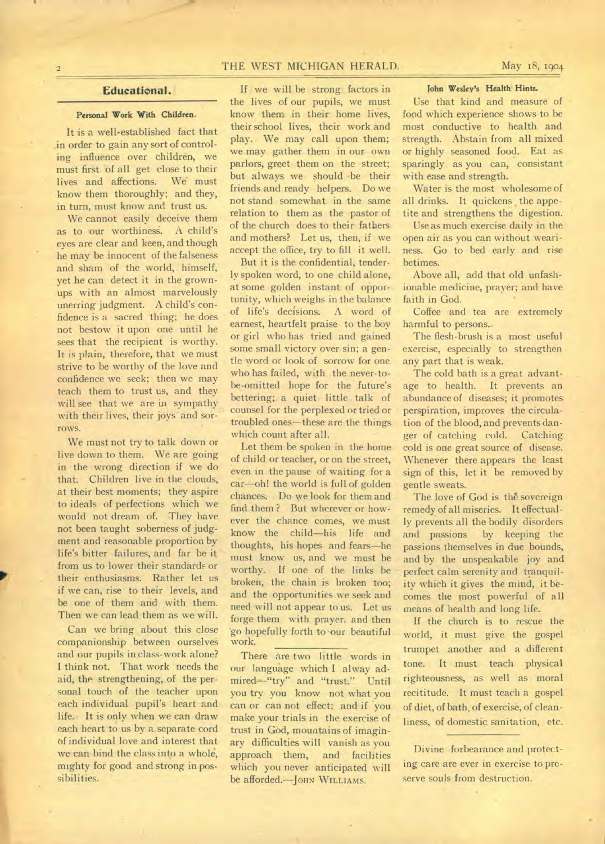# THE WEST MICHIGAN HERALD. May 18, 1904

# Educational.

## Personal Work With Children.

It is a well-established fact that in order to gain any sort of controling influence over children, we must first of all get close to their lives and affections. We must know them thoroughly; and they, in turn, must know and trust us.

We cannot easily deceive them as to our worthiness. A child's eyes are clear and keen, and though he may be innocent of the falseness and sham of the world, himself, yet he can detect it in the grownups with an almost marvelously unerring judgment. A child's confidence is a sacred thing; he does not bestow it upon one until he sees that the recipient is worthy. It is plain, therefore, that we must strive to be worthy of the love and confidence we seek; then we may teach them to trust us, and they will see that we are in sympathy with their lives, their joys and sorrows.

We must not try to talk down or live down to them. We are going in the wrong direction if we do that. Children live in the clouds, at their best moments; they aspire to ideals of perfections which we would not dream of. They have not been taught soberness of judgment and reasonable proportion by life's bitter failures, and far be it from us to lower their standards or their enthusiasms. Rather let us if we can, rise to their levels, and be one of them and with them. Then we can lead them as we will.

Can we bring about this close companionship between ourselves and our pupils in class-work alone? I think not. That work needs the aid, the strengthening, of the personal touch of the teacher upon each individual pupil's heart and life. It is only when we can draw each heart to us by a.separate cord of individual love and interest that we can bind the class into a whole, mighty for good and strong in possibilities.

If we will be strong factors in the lives of our pupils, we must know them in their home lives, their school lives, their work and play. We may call upon them; we may gather them in our own parlors, greet them on the street; but always we should -be their friends and ready helpers. Do we not stand somewhat in the same relation to them as the pastor of of the church does to their fathers and mothers? Let us, then, if we accept the office, try to fill it well.

But it is the confidential, tenderly spoken word, to one child alone, at some golden instant of opportunity, which weighs in the balance of life's decisions. A word of earnest, heartfelt praise. to the boy or girl who has tried and gained some small victory over sin; a gentle word or look of sorrow for one who has failed, with the never-tobe-omitted hope for the future's bettering; a quiet little talk of counsel for the perplexed or tried or troubled ones—these are the things which count after all.

Let them be spoken in the home of child or teacher, or on the street, even in. the pause of waiting for a car—oh! the world is full of golden chances. Do we look for them and find them ? But wherever or however the chance comes, we must know the child—his life and thoughts, his hopes and fears—he must know us, and we must be worthy. If one of the links be broken, the chain is broken too; and the opportunities we seek and need will not appear to us. Let us forge them with prayer. and then 'go hopefully forth to-our beautiful work.

There are two little words in our language which I alway admired-"try" and "trust." Until you try you know not what you can or can not effect; and if you make your trials in the exercise of trust in God, mountains of imaginary difficulties will vanish as you approach them, and facilities which you never anticipated will be afforded.—JOHN WILLIAMS.

### **John** Wesley's Health **Hints.**

Use that kind and measure of food which experience shows to be most conductive to health and strength. Abstain from all mixed or highly seasoned food. Eat as sparingly as you can, consistant with ease and strength.

Water is the most wholesome of all drinks. It quickens the appetite and strengthens the digestion.

Use as much exercise daily in the open air as you can without weariness. Go to bed early and rise betimes.

Above all, add that old unfashionable medicine, prayer; and have faith in God.

Coffee and tea are extremely harmful to persons..

The flesh-brush is a most useful exercise, especially to strengthen any part that is weak.

The cold bath is a great advantage to health. It prevents an abundance of diseases; it promotes perspiration, improves the circulation of the blood, and prevents danger of catching cold. Catching cold is one great source of disease. Whenever there appears the least sign of this, let it be removed by gentle sweats.

The love of God is the sovereign remedy of all miseries. It effectually prevents all the bodily disorders and passions by keeping the passions themselves in due bounds, and by the unspeakable joy and perfect calm serenity and tranquility which it gives the mind, it becomes the most powerful of all means of health and long life.

If the church is to rescue the world, it must give the gospel trumpet another and a different tone. It must teach physical righteousness, as well as moral recititude. It must teach a gospel of diet, of bath, of exercise, of cleanliness, of domestic sanitation, etc.

Divine forbearance and protecting care are ever in exercise to preserve souls from destruction.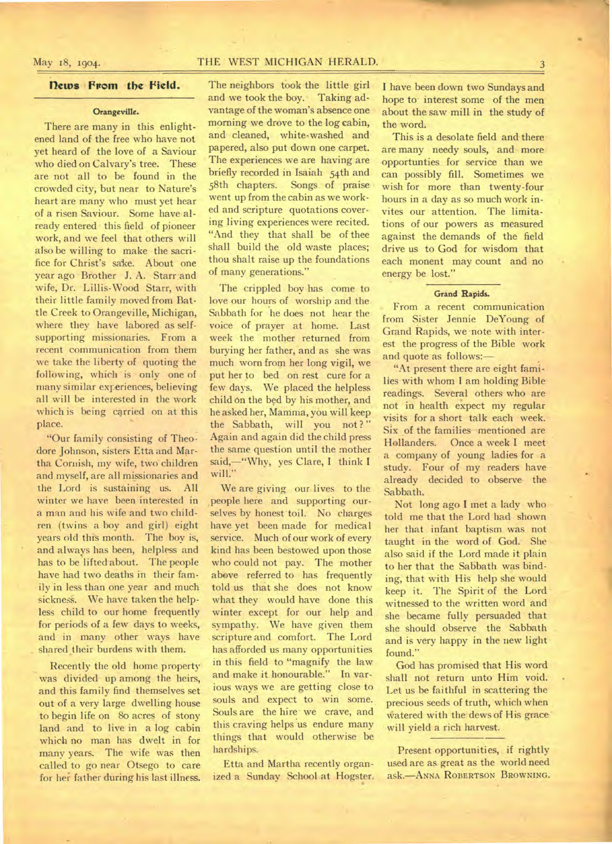## **flews From the Field.**

## **Orangeville.**

There are many in this enlightened land of the free who have not yet heard of the love of a Saviour who died on Calvary's tree. These are not all to be found in the crowded city, but near to Nature's heart are many who must yet hear of a risen Saviour. Some have already entered this field of pioneer work, and we feel that others will also be willing to make the sacrifice for Christ's sake. About one year ago Brother J. A. Starr and wife, Dr. Lillis-Wood Starr, with their little family moved from Battle Creek to Orangeville, Michigan, where they have labored as selfsupporting missionaries. From a recent communication from them we take the liberty of quoting the following, which is only one of many similar experiences, believing all will be interested in the work which is being carried on at this place.

"Our family consisting of Theodore Johnson, sisters Etta and Martha Cornish, my wife, two children and, myself, are all missionaries and the Lord is sustaining us. All winter we have been interested in a man and his wife and two children (twins a boy and girl) eight years old this month. The boy is, and always has been, helpless and has to be lifted about. The people have had two deaths in their family in less than one year and much sickness. We have taken the helpless child to our home frequently for periods of a few days to weeks, and in many other ways have shared their burdens with them.

Recently the old home property was divided up among the heirs, and this family find themselves set out of a very large dwelling house to begin life on 8o acres of stony land and to live in a log cabin which no man has dwelt in for many years. The wife was then called to go near Otsego to care for her father during his last illness.

The neighbors took the little girl and we took the boy. Taking advantage of the woman's absence one morning we drove to the log cabin, and cleaned, white-washed and papered, also put down one carpet. The experiences we are having are briefly recorded in Isaiah 54th and 58th chapters. Songs of praise went up from the cabin as we worked and scripture quotations covering living experiences were recited. "And they that shall be of thee shall build the old waste places; thou shalt raise up the foundations of many generations."

The crippled boy has come to love our hours of worship and the Sabbath for he does not hear the voice of prayer at home. Last week the mother returned from burying her father, and as she was much worn from her long vigil, we put her to bed on rest cure for a few days. We placed the helpless child on the bed by his mother, and he asked her, Mamma, you will keep the Sabbath, will you not?" Again and again did the child press the same question until the mother said,—"Why, yes Clare, I think I will."

We are giving our lives to the people here and supporting ourselves by honest toil. No charges have yet been made for medical service. Much of our work of every kind has been bestowed upon those who could not pay. The mother above referred to has frequently told us that she does not know what they would have done this winter except for our help and sympathy. We have given them scripture and comfort. The Lord has afforded us many opportunities in this field to "magnify the law and make it honourable." In various ways we are getting close to souls and expect to win some. Souls are the hire we crave, and this craving helps us endure many things that would otherwise be hardships.

Etta and Martha recently organized a Sunday School at Hogster. I have been down two Sundays and hope to-interest some of the men about the saw mill in the study of the word.

This is a desolate field and there are many needy souls, and more opportunties for service than we can possibly fill. Sometimes we wish for more than twenty-four hours in a day as so much work invites our attention. The limitations of our powers as measured against the demands of the field drive us to God for wisdom that each monent may count and no energy be lost."

## Grand Rapids.

From a recent communication from Sister Jennie DeYoung of Grand Rapids, we note with interest the progress of the Bible work and quote as follows:—

"At present there are eight families with whom I am holding Bible readings. Several others who are not in health expect my regular visits for a short talk each week. Six of the families mentioned are Hollanders. Once a week I meet a company of young ladies for a study. Four of my readers have already decided to observe the Sabbath,

Not long ago I met a lady who told me that the Lord had shown her that infant baptism was not taught in the word of God. She also said if the Lord made it plain to her that the Sabbath was binding, that with His help she would keep it. The Spirit of the Lord witnessed to the written word and she became fully persuaded that she should observe the Sabbath and is very happy in the new light found."

God has promised that His word shall not return unto Him void. Let us be faithful in scattering the precious seeds of truth, which when Watered with the dews of His grace' will yield a rich harvest.

Present opportunities, if rightly used are as great as the world need ask.—ANNA **ROBERTSON BROWNING.**